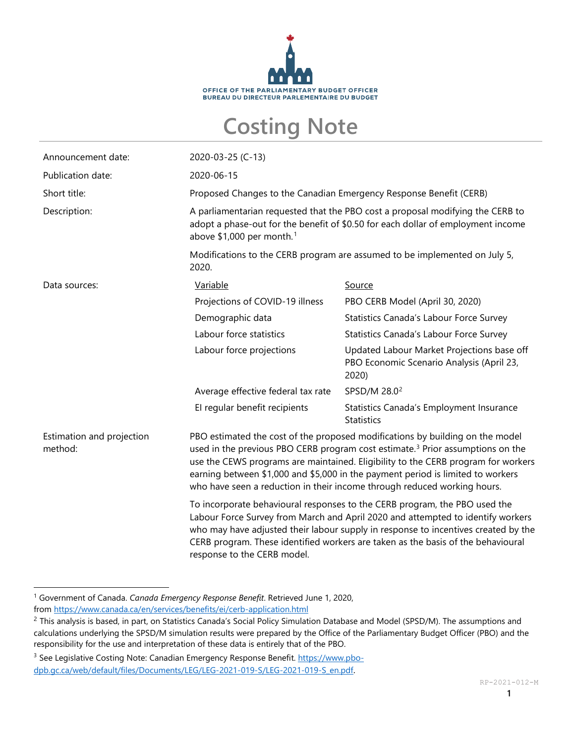

## **Costing Note**

| Announcement date:                   | 2020-03-25 (C-13)                                                                                                                                                                                                                                                                                                                                                                                                               |                                                                                                  |  |
|--------------------------------------|---------------------------------------------------------------------------------------------------------------------------------------------------------------------------------------------------------------------------------------------------------------------------------------------------------------------------------------------------------------------------------------------------------------------------------|--------------------------------------------------------------------------------------------------|--|
| Publication date:                    | 2020-06-15                                                                                                                                                                                                                                                                                                                                                                                                                      |                                                                                                  |  |
| Short title:                         | Proposed Changes to the Canadian Emergency Response Benefit (CERB)                                                                                                                                                                                                                                                                                                                                                              |                                                                                                  |  |
| Description:                         | A parliamentarian requested that the PBO cost a proposal modifying the CERB to<br>adopt a phase-out for the benefit of \$0.50 for each dollar of employment income<br>above $$1,000$ per month. <sup>1</sup>                                                                                                                                                                                                                    |                                                                                                  |  |
|                                      | Modifications to the CERB program are assumed to be implemented on July 5,<br>2020.                                                                                                                                                                                                                                                                                                                                             |                                                                                                  |  |
| Data sources:                        | Variable                                                                                                                                                                                                                                                                                                                                                                                                                        | Source                                                                                           |  |
|                                      | Projections of COVID-19 illness                                                                                                                                                                                                                                                                                                                                                                                                 | PBO CERB Model (April 30, 2020)                                                                  |  |
|                                      | Demographic data                                                                                                                                                                                                                                                                                                                                                                                                                | Statistics Canada's Labour Force Survey                                                          |  |
|                                      | Labour force statistics                                                                                                                                                                                                                                                                                                                                                                                                         | Statistics Canada's Labour Force Survey                                                          |  |
|                                      | Labour force projections                                                                                                                                                                                                                                                                                                                                                                                                        | Updated Labour Market Projections base off<br>PBO Economic Scenario Analysis (April 23,<br>2020) |  |
|                                      | Average effective federal tax rate                                                                                                                                                                                                                                                                                                                                                                                              | SPSD/M 28.0 <sup>2</sup>                                                                         |  |
|                                      | El regular benefit recipients                                                                                                                                                                                                                                                                                                                                                                                                   | Statistics Canada's Employment Insurance<br><b>Statistics</b>                                    |  |
| Estimation and projection<br>method: | PBO estimated the cost of the proposed modifications by building on the model<br>used in the previous PBO CERB program cost estimate. <sup>3</sup> Prior assumptions on the<br>use the CEWS programs are maintained. Eligibility to the CERB program for workers<br>earning between \$1,000 and \$5,000 in the payment period is limited to workers<br>who have seen a reduction in their income through reduced working hours. |                                                                                                  |  |
|                                      | To incorporate behavioural responses to the CERB program, the PBO used the<br>Labour Force Survey from March and April 2020 and attempted to identify workers<br>who may have adjusted their labour supply in response to incentives created by the<br>CERB program. These identified workers are taken as the basis of the behavioural<br>response to the CERB model.                                                          |                                                                                                  |  |

<span id="page-0-0"></span><sup>1</sup> Government of Canada. *Canada Emergency Response Benefit*. Retrieved June 1, 2020, from <https://www.canada.ca/en/services/benefits/ei/cerb-application.html>

<span id="page-0-1"></span><sup>&</sup>lt;sup>2</sup> This analysis is based, in part, on Statistics Canada's Social Policy Simulation Database and Model (SPSD/M). The assumptions and calculations underlying the SPSD/M simulation results were prepared by the Office of the Parliamentary Budget Officer (PBO) and the responsibility for the use and interpretation of these data is entirely that of the PBO.

<span id="page-0-2"></span><sup>&</sup>lt;sup>3</sup> See Legislative Costing Note: Canadian Emergency Response Benefit[. https://www.pbo](https://www.pbo-dpb.gc.ca/web/default/files/Documents/LEG/LEG-2021-019-S/LEG-2021-019-S_en.pdf)[dpb.gc.ca/web/default/files/Documents/LEG/LEG-2021-019-S/LEG-2021-019-S\\_en.pdf.](https://www.pbo-dpb.gc.ca/web/default/files/Documents/LEG/LEG-2021-019-S/LEG-2021-019-S_en.pdf)